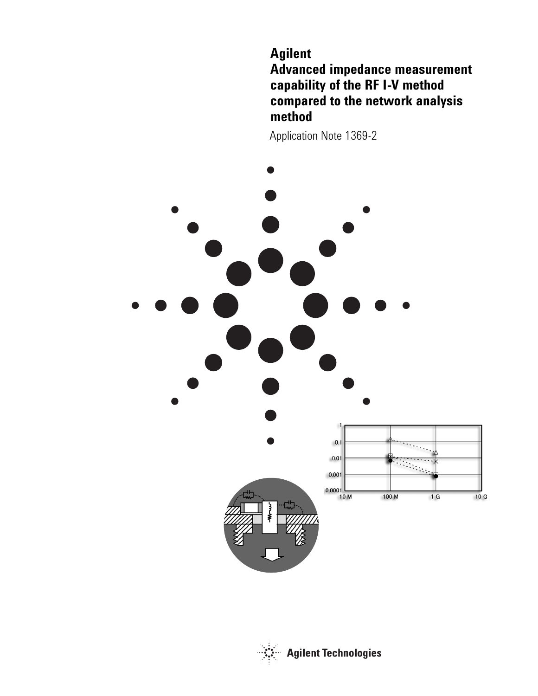# **Agilent Advanced impedance measurement capability of the RF I-V method compared to the network analysis method**

Application Note 1369-2



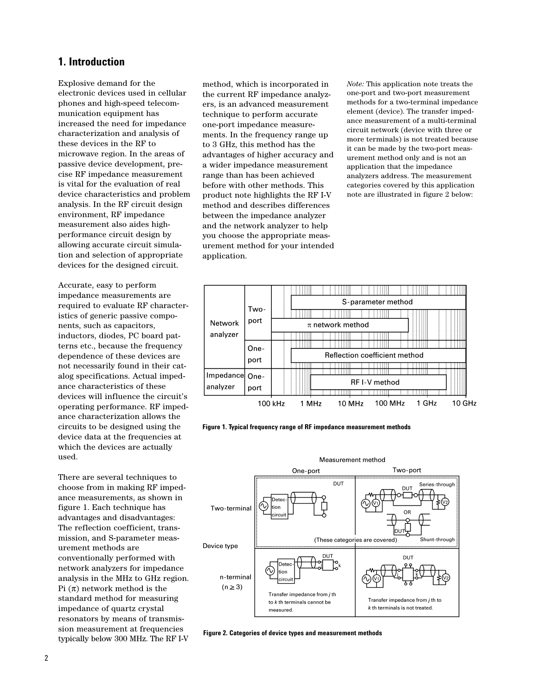### **1. Introduction**

Explosive demand for the electronic devices used in cellular phones and high-speed telecommunication equipment has increased the need for impedance characterization and analysis of these devices in the RF to microwave region. In the areas of passive device development, precise RF impedance measurement is vital for the evaluation of real device characteristics and problem analysis. In the RF circuit design environment, RF impedance measurement also aides highperformance circuit design by allowing accurate circuit simulation and selection of appropriate devices for the designed circuit.

Accurate, easy to perform impedance measurements are required to evaluate RF characteristics of generic passive components, such as capacitors, inductors, diodes, PC board patterns etc., because the frequency dependence of these devices are not necessarily found in their catalog specifications. Actual impedance characteristics of these devices will influence the circuit's operating performance. RF impedance characterization allows the circuits to be designed using the device data at the frequencies at which the devices are actually used.

There are several techniques to choose from in making RF impedance measurements, as shown in figure 1. Each technique has advantages and disadvantages: The reflection coefficient, transmission, and S-parameter measurement methods are conventionally performed with network analyzers for impedance analysis in the MHz to GHz region. Pi  $(\pi)$  network method is the standard method for measuring impedance of quartz crystal resonators by means of transmission measurement at frequencies typically below 300 MHz. The RF I-V

method, which is incorporated in the current RF impedance analyzers, is an advanced measurement technique to perform accurate one-port impedance measurements. In the frequency range up to 3 GHz, this method has the advantages of higher accuracy and a wider impedance measurement range than has been achieved before with other methods. This product note highlights the RF I-V method and describes differences between the impedance analyzer and the network analyzer to help you choose the appropriate measurement method for your intended application.

*Note:* This application note treats the one-port and two-port measurement methods for a two-terminal impedance element (device). The transfer impedance measurement of a multi-terminal circuit network (device with three or more terminals) is not treated because it can be made by the two-port measurement method only and is not an application that the impedance analyzers address. The measurement categories covered by this application note are illustrated in figure 2 below:



**Figure 1. Typical frequency range of RF impedance measurement methods**



**Figure 2. Categories of device types and measurement methods**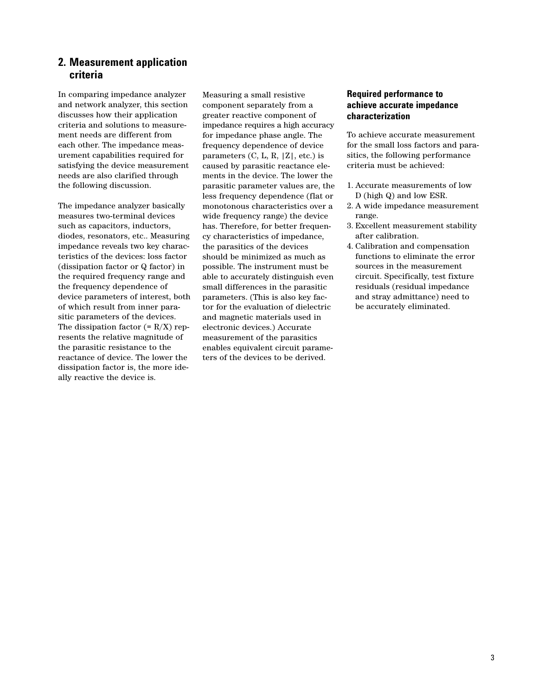### **2. Measurement application criteria**

In comparing impedance analyzer and network analyzer, this section discusses how their application criteria and solutions to measurement needs are different from each other. The impedance measurement capabilities required for satisfying the device measurement needs are also clarified through the following discussion.

The impedance analyzer basically measures two-terminal devices such as capacitors, inductors, diodes, resonators, etc.. Measuring impedance reveals two key characteristics of the devices: loss factor (dissipation factor or Q factor) in the required frequency range and the frequency dependence of device parameters of interest, both of which result from inner parasitic parameters of the devices. The dissipation factor  $(= R/X)$  represents the relative magnitude of the parasitic resistance to the reactance of device. The lower the dissipation factor is, the more ideally reactive the device is.

Measuring a small resistive component separately from a greater reactive component of impedance requires a high accuracy for impedance phase angle. The frequency dependence of device parameters  $(C, L, R, |Z|, etc.)$  is caused by parasitic reactance elements in the device. The lower the parasitic parameter values are, the less frequency dependence (flat or monotonous characteristics over a wide frequency range) the device has. Therefore, for better frequency characteristics of impedance, the parasitics of the devices should be minimized as much as possible. The instrument must be able to accurately distinguish even small differences in the parasitic parameters. (This is also key factor for the evaluation of dielectric and magnetic materials used in electronic devices.) Accurate measurement of the parasitics enables equivalent circuit parameters of the devices to be derived.

### **Required performance to achieve accurate impedance characterization**

To achieve accurate measurement for the small loss factors and parasitics, the following performance criteria must be achieved:

- 1. Accurate measurements of low D (high Q) and low ESR.
- 2. A wide impedance measurement range.
- 3. Excellent measurement stability after calibration.
- 4. Calibration and compensation functions to eliminate the error sources in the measurement circuit. Specifically, test fixture residuals (residual impedance and stray admittance) need to be accurately eliminated.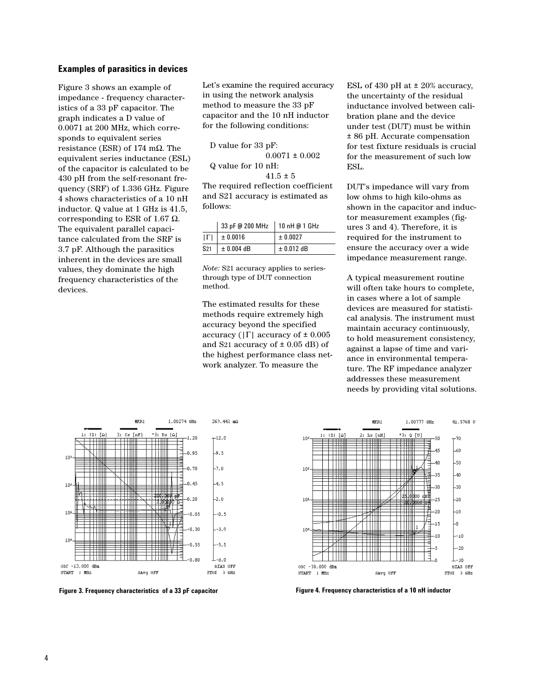### **Examples of parasitics in devices**

Figure 3 shows an example of impedance - frequency characteristics of a 33 pF capacitor. The graph indicates a D value of 0.0071 at 200 MHz, which corresponds to equivalent series resistance (ESR) of 174 mΩ. The equivalent series inductance (ESL) of the capacitor is calculated to be 430 pH from the self-resonant frequency (SRF) of 1.336 GHz. Figure 4 shows characteristics of a 10 nH inductor. Q value at 1 GHz is 41.5, corresponding to ESR of 1.67  $\Omega$ . The equivalent parallel capacitance calculated from the SRF is 3.7 pF. Although the parasitics inherent in the devices are small values, they dominate the high frequency characteristics of the devices.

Let's examine the required accuracy in using the network analysis method to measure the 33 pF capacitor and the 10 nH inductor for the following conditions:

D value for 33 pF:  $0.0071 \pm 0.002$ Q value for 10 nH:  $41.5 \pm 5$ 

The required reflection coefficient and S21 accuracy is estimated as follows:

|                 | 33 pF @ 200 MHz   10 nH @ 1 GHz |                |
|-----------------|---------------------------------|----------------|
| $ \Gamma $      | ± 0.0016                        | ± 0.0027       |
| S <sub>21</sub> | $\pm$ 0.004 dB                  | $\pm$ 0.012 dB |

*Note:* S21 accuracy applies to seriesthrough type of DUT connection method.

The estimated results for these methods require extremely high accuracy beyond the specified accuracy ( $|\Gamma|$  accuracy of  $\pm 0.005$ and S21 accuracy of  $\pm$  0.05 dB) of the highest performance class network analyzer. To measure the

ESL of 430 pH at ± 20% accuracy, the uncertainty of the residual inductance involved between calibration plane and the device under test (DUT) must be within ± 86 pH. Accurate compensation for test fixture residuals is crucial for the measurement of such low ESL.

DUT's impedance will vary from low ohms to high kilo-ohms as shown in the capacitor and inductor measurement examples (figures 3 and 4). Therefore, it is required for the instrument to ensure the accuracy over a wide impedance measurement range.

A typical measurement routine will often take hours to complete, in cases where a lot of sample devices are measured for statistical analysis. The instrument must maintain accuracy continuously, to hold measurement consistency, against a lapse of time and variance in environmental temperature. The RF impedance analyzer addresses these measurement needs by providing vital solutions.



Figure 3. Frequency characteristics of a 33 pF capacitor **Figure 4. Frequency characteristics of a 10 nH** inductor

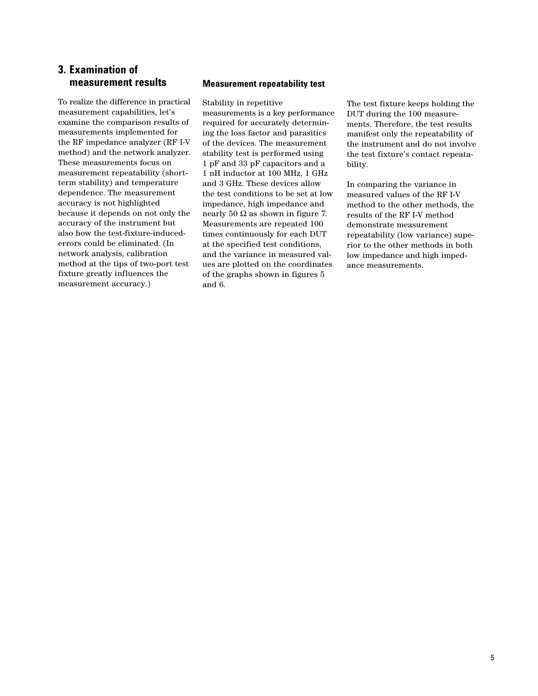## **3. Examination of measurement results**

To realize the difference in practical measurement capabilities, let's examine the comparison results of measurements implemented for the RF impedance analyzer (RF I-V method) and the network analyzer. These measurements focus on measurement repeatability (shortterm stability) and temperature dependence. The measurement accuracy is not highlighted because it depends on not only the accuracy of the instrument but also how the test-fixture-inducederrors could be eliminated. (In network analysis, calibration method at the tips of two-port test fixture greatly influences the measurement accuracy.)

### **Measurement repeatability test**

Stability in repetitive measurements is a key performance required for accurately determining the loss factor and parasitics of the devices. The measurement stability test is performed using 1 pF and 33 pF capacitors and a 1 nH inductor at 100 MHz, 1 GHz and 3 GHz. These devices allow the test conditions to be set at low impedance, high impedance and nearly 50  $\Omega$  as shown in figure 7. Measurements are repeated 100 times continuously for each DUT at the specified test conditions, and the variance in measured values are plotted on the coordinates of the graphs shown in figures 5 and 6.

The test fixture keeps holding the DUT during the 100 measurements. Therefore, the test results manifest only the repeatability of the instrument and do not involve the test fixture's contact repeatability.

In comparing the variance in measured values of the RF I-V method to the other methods, the results of the RF I-V method demonstrate measurement repeatability (low variance) superior to the other methods in both low impedance and high impedance measurements.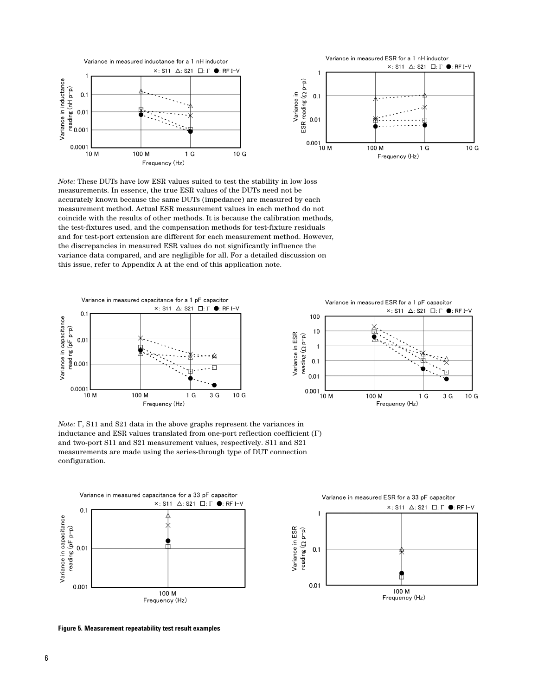

*Note:* These DUTs have low ESR values suited to test the stability in low loss measurements. In essence, the true ESR values of the DUTs need not be accurately known because the same DUTs (impedance) are measured by each measurement method. Actual ESR measurement values in each method do not coincide with the results of other methods. It is because the calibration methods, the test-fixtures used, and the compensation methods for test-fixture residuals and for test-port extension are different for each measurement method. However, the discrepancies in measured ESR values do not significantly influence the variance data compared, and are negligible for all. For a detailed discussion on this issue, refer to Appendix A at the end of this application note.



*Note:* Γ, S11 and S21 data in the above graphs represent the variances in inductance and ESR values translated from one-port reflection coefficient (Γ) and two-port S11 and S21 measurement values, respectively. S11 and S21 measurements are made using the series-through type of DUT connection configuration.



**Figure 5. Measurement repeatability test result examples**



3 G

 $10G$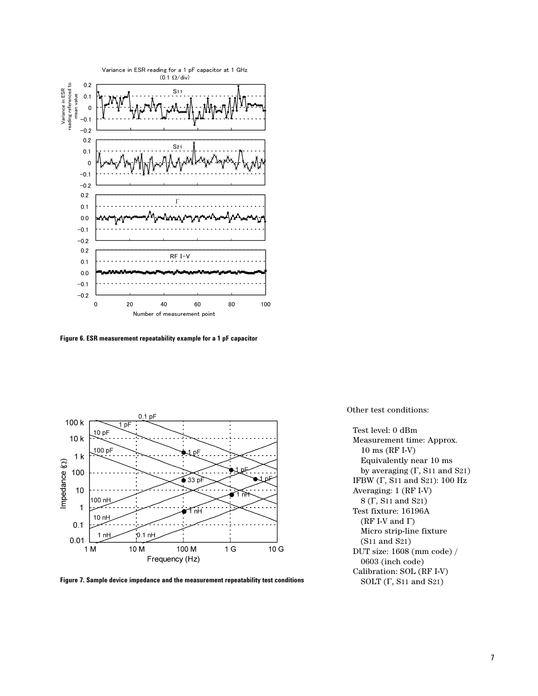

**Figure 6. ESR measurement repeatability example for a 1 pF capacitor** 



**Figure 7. Sample device impedance and the measurement repeatability test conditions**

Other test conditions:

Test level: 0 dBm Measurement time: Approx. 10 ms (RF I-V) Equivalently near 10 ms by averaging (Γ, S11 and S21) IFBW (Γ, S11 and S21): 100 Hz Averaging: 1 (RF I-V) 8 (Γ, S11 and S21) Test fixture: 16196A (RF I-V and  $\Gamma$ ) Micro strip-line fixture (S11 and S21) DUT size: 1608 (mm code) / 0603 (inch code) Calibration: SOL (RF I-V) SOLT (Γ, S11 and S21)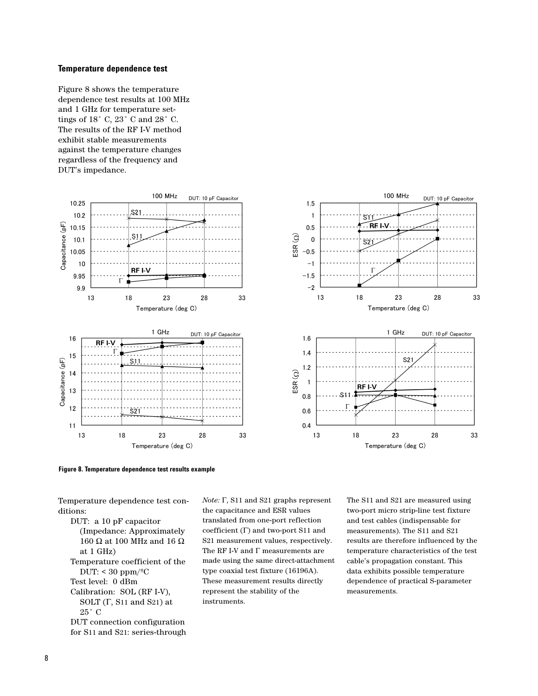### **Temperature dependence test**

Figure 8 shows the temperature dependence test results at 100 MHz and 1 GHz for temperature settings of  $18\degree$  C,  $23\degree$  C and  $28\degree$  C. The results of the RF I-V method exhibit stable measurements against the temperature changes regardless of the frequency and DUT's impedance.





Temperature dependence test conditions:

DUT: a 10 pF capacitor (Impedance: Approximately 160 Ω at 100 MHz and 16 Ω at 1 GHz) Temperature coefficient of the DUT:  $<$  30 ppm/ $<sup>°</sup>C$ </sup> Test level: 0 dBm Calibration: SOL (RF I-V), SOLT (Γ, S11 and S21) at 25˚ C DUT connection configuration for S11 and S21: series-through *Note:* Γ, S11 and S21 graphs represent the capacitance and ESR values translated from one-port reflection coefficient (Γ) and two-port S11 and S21 measurement values, respectively. The RF I-V and Γ measurements are made using the same direct-attachment type coaxial test fixture (16196A). These measurement results directly represent the stability of the instruments.

The S11 and S21 are measured using two-port micro strip-line test fixture and test cables (indispensable for measurements). The S11 and S21 results are therefore influenced by the temperature characteristics of the test cable's propagation constant. This data exhibits possible temperature dependence of practical S-parameter measurements.

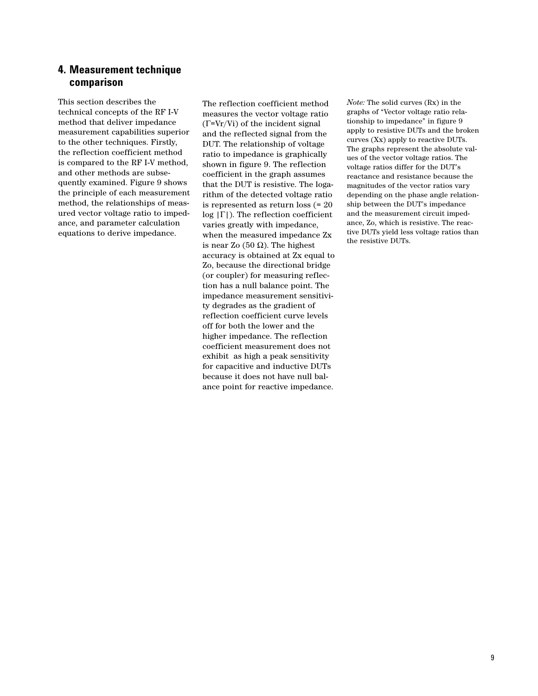### **4. Measurement technique comparison**

This section describes the technical concepts of the RF I-V method that deliver impedance measurement capabilities superior to the other techniques. Firstly, the reflection coefficient method is compared to the RF I-V method, and other methods are subsequently examined. Figure 9 shows the principle of each measurement method, the relationships of measured vector voltage ratio to impedance, and parameter calculation equations to derive impedance.

The reflection coefficient method measures the vector voltage ratio (Γ=Vr/Vi) of the incident signal and the reflected signal from the DUT. The relationship of voltage ratio to impedance is graphically shown in figure 9. The reflection coefficient in the graph assumes that the DUT is resistive. The logarithm of the detected voltage ratio is represented as return loss (= 20  $log |\Gamma|$ ). The reflection coefficient varies greatly with impedance, when the measured impedance Zx is near Zo (50 Ω). The highest accuracy is obtained at Zx equal to Zo, because the directional bridge (or coupler) for measuring reflection has a null balance point. The impedance measurement sensitivity degrades as the gradient of reflection coefficient curve levels off for both the lower and the higher impedance. The reflection coefficient measurement does not exhibit as high a peak sensitivity for capacitive and inductive DUTs because it does not have null balance point for reactive impedance.

*Note:* The solid curves (Rx) in the graphs of "Vector voltage ratio relationship to impedance" in figure 9 apply to resistive DUTs and the broken curves (Xx) apply to reactive DUTs. The graphs represent the absolute values of the vector voltage ratios. The voltage ratios differ for the DUT's reactance and resistance because the magnitudes of the vector ratios vary depending on the phase angle relationship between the DUT's impedance and the measurement circuit impedance, Zo, which is resistive. The reactive DUTs yield less voltage ratios than the resistive DUTs.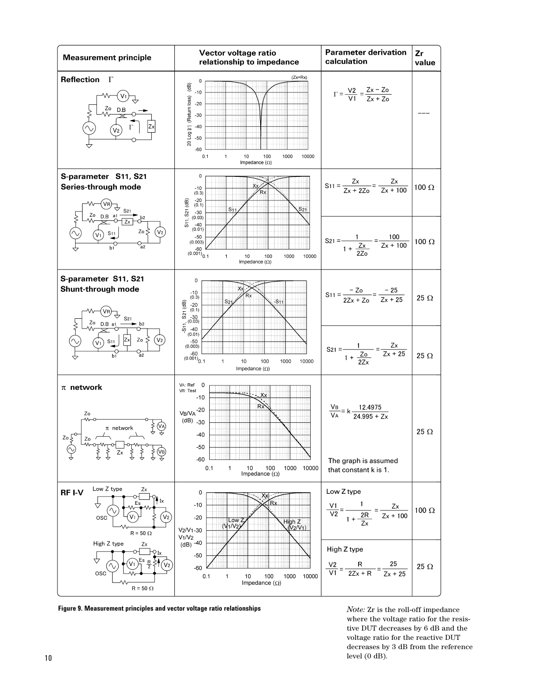

**Figure 9. Measurement principles and vector voltage ratio relationships**

*Note:* Zr is the roll-off impedance where the voltage ratio for the resistive DUT decreases by 6 dB and the voltage ratio for the reactive DUT decreases by 3 dB from the reference  $\lceil 10 \rceil$  level (0 dB).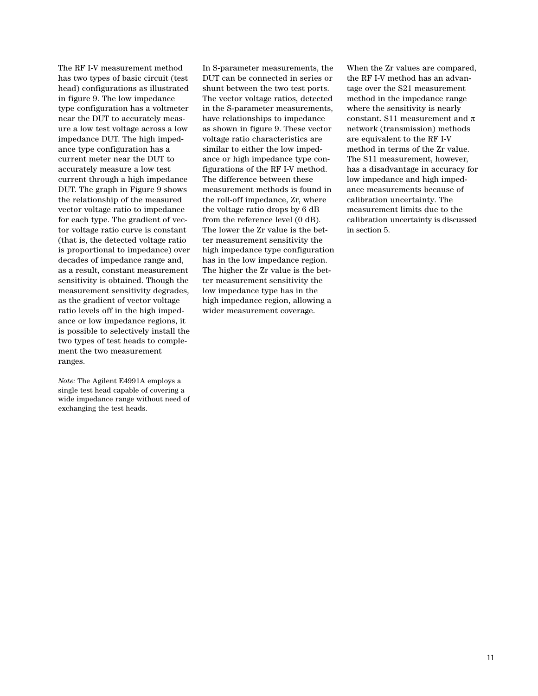The RF I-V measurement method has two types of basic circuit (test head) configurations as illustrated in figure 9. The low impedance type configuration has a voltmeter near the DUT to accurately measure a low test voltage across a low impedance DUT. The high impedance type configuration has a current meter near the DUT to accurately measure a low test current through a high impedance DUT. The graph in Figure 9 shows the relationship of the measured vector voltage ratio to impedance for each type. The gradient of vector voltage ratio curve is constant (that is, the detected voltage ratio is proportional to impedance) over decades of impedance range and, as a result, constant measurement sensitivity is obtained. Though the measurement sensitivity degrades, as the gradient of vector voltage ratio levels off in the high impedance or low impedance regions, it is possible to selectively install the two types of test heads to complement the two measurement ranges.

*Note:* The Agilent E4991A employs a single test head capable of covering a wide impedance range without need of exchanging the test heads.

In S-parameter measurements, the DUT can be connected in series or shunt between the two test ports. The vector voltage ratios, detected in the S-parameter measurements, have relationships to impedance as shown in figure 9. These vector voltage ratio characteristics are similar to either the low impedance or high impedance type configurations of the RF I-V method. The difference between these measurement methods is found in the roll-off impedance, Zr, where the voltage ratio drops by 6 dB from the reference level (0 dB). The lower the Zr value is the better measurement sensitivity the high impedance type configuration has in the low impedance region. The higher the Zr value is the better measurement sensitivity the low impedance type has in the high impedance region, allowing a wider measurement coverage.

When the Zr values are compared, the RF I-V method has an advantage over the S21 measurement method in the impedance range where the sensitivity is nearly constant. S11 measurement and  $\pi$ network (transmission) methods are equivalent to the RF I-V method in terms of the Zr value. The S11 measurement, however, has a disadvantage in accuracy for low impedance and high impedance measurements because of calibration uncertainty. The measurement limits due to the calibration uncertainty is discussed in section 5.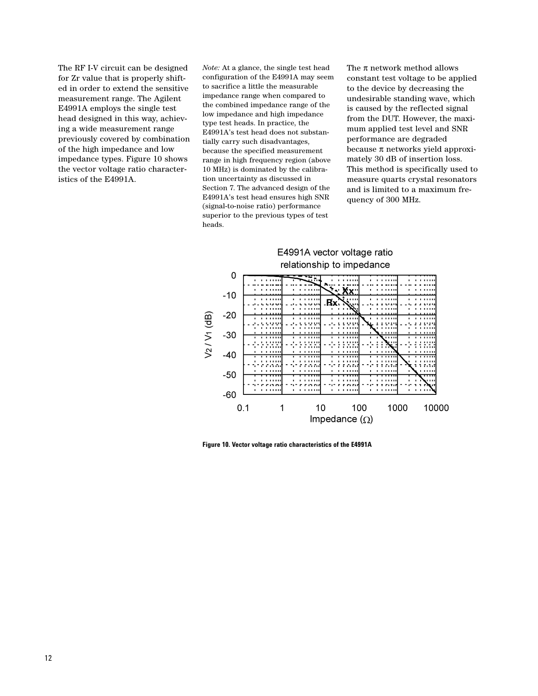The RF I-V circuit can be designed for Zr value that is properly shifted in order to extend the sensitive measurement range. The Agilent E4991A employs the single test head designed in this way, achieving a wide measurement range previously covered by combination of the high impedance and low impedance types. Figure 10 shows the vector voltage ratio characteristics of the E4991A.

*Note:* At a glance, the single test head configuration of the E4991A may seem to sacrifice a little the measurable impedance range when compared to the combined impedance range of the low impedance and high impedance type test heads. In practice, the E4991A's test head does not substantially carry such disadvantages, because the specified measurement range in high frequency region (above 10 MHz) is dominated by the calibration uncertainty as discussed in Section 7. The advanced design of the E4991A's test head ensures high SNR (signal-to-noise ratio) performance superior to the previous types of test heads.

The  $\pi$  network method allows constant test voltage to be applied to the device by decreasing the undesirable standing wave, which is caused by the reflected signal from the DUT. However, the maximum applied test level and SNR performance are degraded because  $\pi$  networks yield approximately 30 dB of insertion loss. This method is specifically used to measure quarts crystal resonators and is limited to a maximum frequency of 300 MHz.



**Figure 10. Vector voltage ratio characteristics of the E4991A**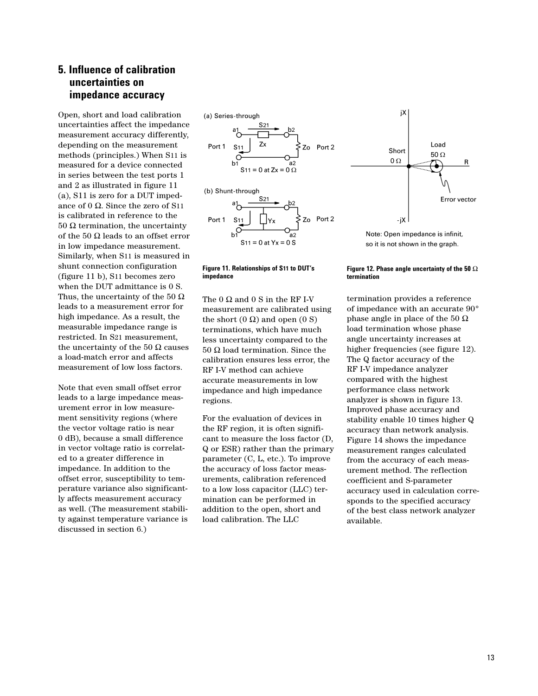### **5. Influence of calibration uncertainties on impedance accuracy**

Open, short and load calibration uncertainties affect the impedance measurement accuracy differently, depending on the measurement methods (principles.) When S11 is measured for a device connected in series between the test ports 1 and 2 as illustrated in figure 11 (a), S11 is zero for a DUT impedance of 0 Ω. Since the zero of S11 is calibrated in reference to the 50  $\Omega$  termination, the uncertainty of the 50  $\Omega$  leads to an offset error in low impedance measurement. Similarly, when S11 is measured in shunt connection configuration (figure 11 b), S11 becomes zero when the DUT admittance is 0 S. Thus, the uncertainty of the 50  $\Omega$ leads to a measurement error for high impedance. As a result, the measurable impedance range is restricted. In S21 measurement, the uncertainty of the 50  $\Omega$  causes a load-match error and affects measurement of low loss factors.

Note that even small offset error leads to a large impedance measurement error in low measurement sensitivity regions (where the vector voltage ratio is near 0 dB), because a small difference in vector voltage ratio is correlated to a greater difference in impedance. In addition to the offset error, susceptibility to temperature variance also significantly affects measurement accuracy as well. (The measurement stability against temperature variance is discussed in section 6.)

(a) Series-through Port 1 S<sub>11</sub> Zo Port 2  $b<sub>1</sub>$ S<sub>11</sub> = 0 at Z<sub>x</sub> = 0  $\Omega$ (b) Shunt-through Zo Port 2 Port 1



The  $0 \Omega$  and  $0 S$  in the RF I-V measurement are calibrated using the short  $(0 Ω)$  and open  $(0 S)$ terminations, which have much less uncertainty compared to the 50 Ω load termination. Since the calibration ensures less error, the RF I-V method can achieve accurate measurements in low impedance and high impedance regions.

For the evaluation of devices in the RF region, it is often significant to measure the loss factor (D, Q or ESR) rather than the primary parameter (C, L, etc.). To improve the accuracy of loss factor measurements, calibration referenced to a low loss capacitor (LLC) termination can be performed in addition to the open, short and load calibration. The LLC



Load

jX

Note: Open impedance is infinit, so it is not shown in the graph.

#### **Figure 12. Phase angle uncertainty of the 50** Ω **termination**

termination provides a reference of impedance with an accurate 90° phase angle in place of the 50 Ω load termination whose phase angle uncertainty increases at higher frequencies (see figure 12). The Q factor accuracy of the RF I-V impedance analyzer compared with the highest performance class network analyzer is shown in figure 13. Improved phase accuracy and stability enable 10 times higher Q accuracy than network analysis. Figure 14 shows the impedance measurement ranges calculated from the accuracy of each measurement method. The reflection coefficient and S-parameter accuracy used in calculation corresponds to the specified accuracy of the best class network analyzer available.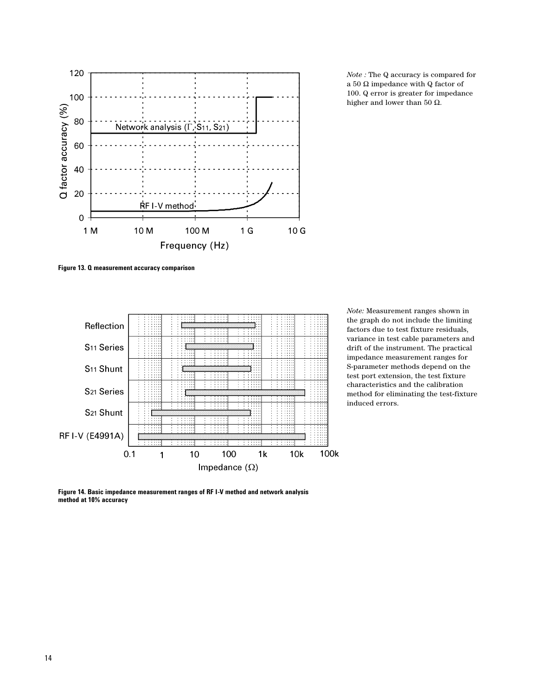

*Note :* The Q accuracy is compared for a 50  $\Omega$  impedance with Q factor of 100. Q error is greater for impedance higher and lower than 50  $Ω$ .

**Figure 13. Q measurement accuracy comparison**



*Note:* Measurement ranges shown in the graph do not include the limiting factors due to test fixture residuals, variance in test cable parameters and drift of the instrument. The practical impedance measurement ranges for S-parameter methods depend on the test port extension, the test fixture characteristics and the calibration method for eliminating the test-fixture induced errors.

**Figure 14. Basic impedance measurement ranges of RF I-V method and network analysis method at 10% accuracy**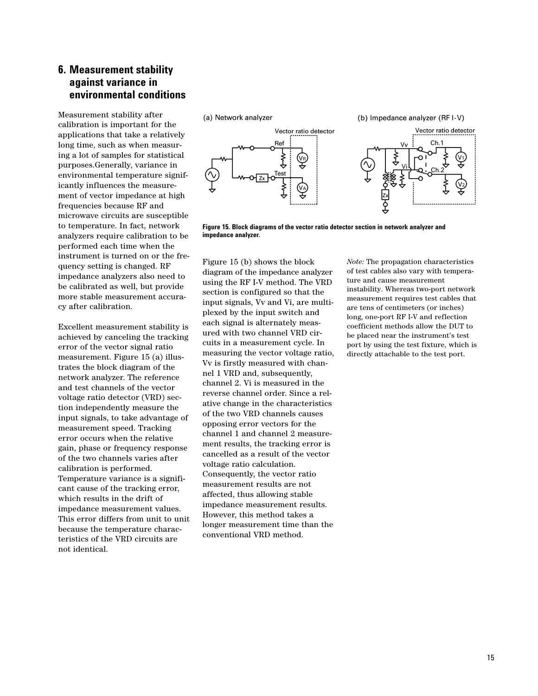### **6. Measurement stability against variance in environmental conditions**

Measurement stability after calibration is important for the applications that take a relatively long time, such as when measuring a lot of samples for statistical purposes.Generally, variance in environmental temperature significantly influences the measurement of vector impedance at high frequencies because RF and microwave circuits are susceptible to temperature. In fact, network analyzers require calibration to be performed each time when the instrument is turned on or the frequency setting is changed. RF impedance analyzers also need to be calibrated as well, but provide more stable measurement accuracy after calibration.

Excellent measurement stability is achieved by canceling the tracking error of the vector signal ratio measurement. Figure 15 (a) illustrates the block diagram of the network analyzer. The reference and test channels of the vector voltage ratio detector (VRD) section independently measure the input signals, to take advantage of measurement speed. Tracking error occurs when the relative gain, phase or frequency response of the two channels varies after calibration is performed. Temperature variance is a significant cause of the tracking error, which results in the drift of impedance measurement values. This error differs from unit to unit because the temperature characteristics of the VRD circuits are not identical.



**Figure 15. Block diagrams of the vector ratio detector section in network analyzer and impedance analyzer.**

Figure 15 (b) shows the block diagram of the impedance analyzer using the RF I-V method. The VRD section is configured so that the input signals, Vv and Vi, are multiplexed by the input switch and each signal is alternately measured with two channel VRD circuits in a measurement cycle. In measuring the vector voltage ratio, Vv is firstly measured with channel 1 VRD and, subsequently, channel 2. Vi is measured in the reverse channel order. Since a relative change in the characteristics of the two VRD channels causes opposing error vectors for the channel 1 and channel 2 measurement results, the tracking error is cancelled as a result of the vector voltage ratio calculation. Consequently, the vector ratio measurement results are not affected, thus allowing stable impedance measurement results. However, this method takes a longer measurement time than the conventional VRD method.

*Note:* The propagation characteristics of test cables also vary with temperature and cause measurement instability. Whereas two-port network measurement requires test cables that are tens of centimeters (or inches) long, one-port RF I-V and reflection coefficient methods allow the DUT to be placed near the instrument's test port by using the test fixture, which is directly attachable to the test port.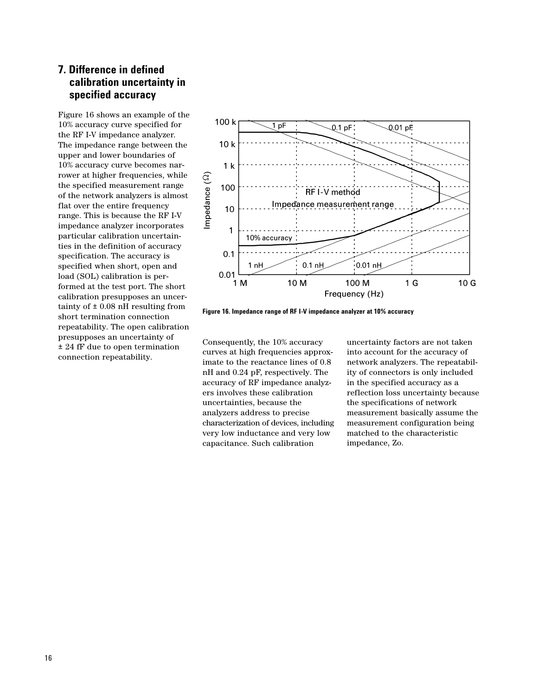## **7. Difference in defined calibration uncertainty in specified accuracy**

Figure 16 shows an example of the 10% accuracy curve specified for the RF I-V impedance analyzer. The impedance range between the upper and lower boundaries of 10% accuracy curve becomes narrower at higher frequencies, while the specified measurement range of the network analyzers is almost flat over the entire frequency range. This is because the RF I-V impedance analyzer incorporates particular calibration uncertainties in the definition of accuracy specification. The accuracy is specified when short, open and load (SOL) calibration is performed at the test port. The short calibration presupposes an uncertainty of  $\pm$  0.08 nH resulting from short termination connection repeatability. The open calibration presupposes an uncertainty of ± 24 fF due to open termination connection repeatability.



**Figure 16. Impedance range of RF I-V impedance analyzer at 10% accuracy**

Consequently, the 10% accuracy curves at high frequencies approximate to the reactance lines of 0.8 nH and 0.24 pF, respectively. The accuracy of RF impedance analyzers involves these calibration uncertainties, because the analyzers address to precise characterization of devices, including very low inductance and very low capacitance. Such calibration

uncertainty factors are not taken into account for the accuracy of network analyzers. The repeatability of connectors is only included in the specified accuracy as a reflection loss uncertainty because the specifications of network measurement basically assume the measurement configuration being matched to the characteristic impedance, Zo.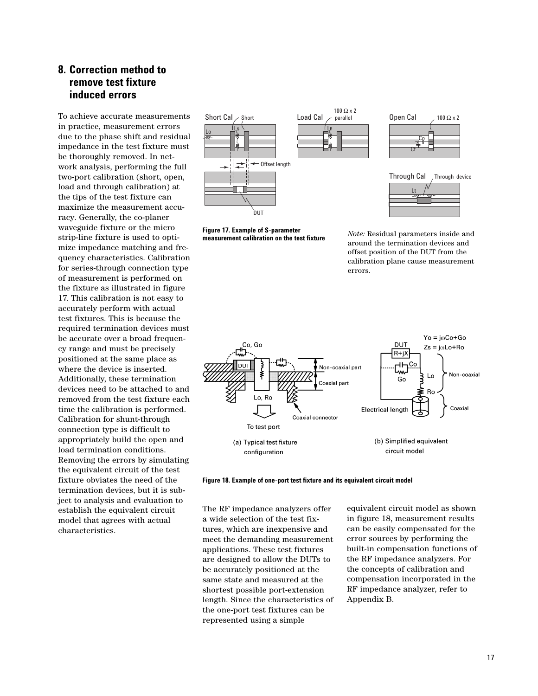## **8. Correction method to remove test fixture induced errors**

To achieve accurate measurements in practice, measurement errors due to the phase shift and residual impedance in the test fixture must be thoroughly removed. In network analysis, performing the full two-port calibration (short, open, load and through calibration) at the tips of the test fixture can maximize the measurement accuracy. Generally, the co-planer waveguide fixture or the micro strip-line fixture is used to optimize impedance matching and frequency characteristics. Calibration for series-through connection type of measurement is performed on the fixture as illustrated in figure 17. This calibration is not easy to accurately perform with actual test fixtures. This is because the required termination devices must be accurate over a broad frequency range and must be precisely positioned at the same place as where the device is inserted. Additionally, these termination devices need to be attached to and removed from the test fixture each time the calibration is performed. Calibration for shunt-through connection type is difficult to appropriately build the open and load termination conditions. Removing the errors by simulating the equivalent circuit of the test fixture obviates the need of the termination devices, but it is subject to analysis and evaluation to establish the equivalent circuit model that agrees with actual characteristics.



**Figure 17. Example of S-parameter measurement calibration on the test fixture**





Through Cal Through device Lt

*Note:* Residual parameters inside and around the termination devices and offset position of the DUT from the calibration plane cause measurement errors.





The RF impedance analyzers offer a wide selection of the test fixtures, which are inexpensive and meet the demanding measurement applications. These test fixtures are designed to allow the DUTs to be accurately positioned at the same state and measured at the shortest possible port-extension length. Since the characteristics of the one-port test fixtures can be represented using a simple

equivalent circuit model as shown in figure 18, measurement results can be easily compensated for the error sources by performing the built-in compensation functions of the RF impedance analyzers. For the concepts of calibration and compensation incorporated in the RF impedance analyzer, refer to Appendix B.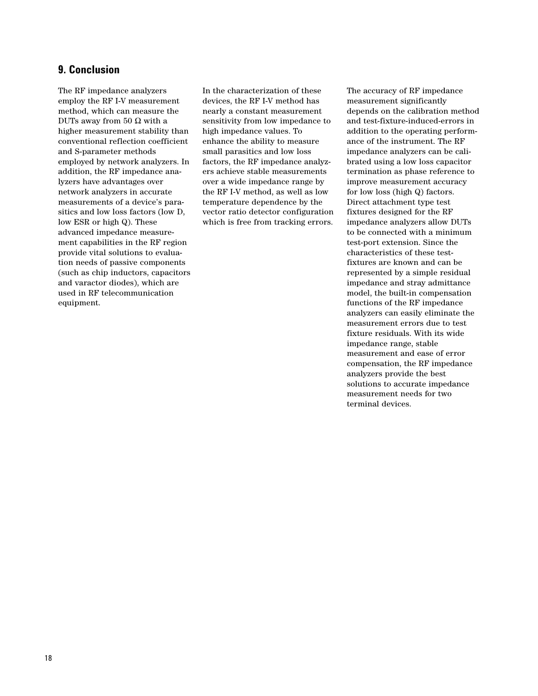### **9. Conclusion**

The RF impedance analyzers employ the RF I-V measurement method, which can measure the DUTs away from 50  $\Omega$  with a higher measurement stability than conventional reflection coefficient and S-parameter methods employed by network analyzers. In addition, the RF impedance analyzers have advantages over network analyzers in accurate measurements of a device's parasitics and low loss factors (low D, low ESR or high Q). These advanced impedance measurement capabilities in the RF region provide vital solutions to evaluation needs of passive components (such as chip inductors, capacitors and varactor diodes), which are used in RF telecommunication equipment.

In the characterization of these devices, the RF I-V method has nearly a constant measurement sensitivity from low impedance to high impedance values. To enhance the ability to measure small parasitics and low loss factors, the RF impedance analyzers achieve stable measurements over a wide impedance range by the RF I-V method, as well as low temperature dependence by the vector ratio detector configuration which is free from tracking errors.

The accuracy of RF impedance measurement significantly depends on the calibration method and test-fixture-induced-errors in addition to the operating performance of the instrument. The RF impedance analyzers can be calibrated using a low loss capacitor termination as phase reference to improve measurement accuracy for low loss (high Q) factors. Direct attachment type test fixtures designed for the RF impedance analyzers allow DUTs to be connected with a minimum test-port extension. Since the characteristics of these testfixtures are known and can be represented by a simple residual impedance and stray admittance model, the built-in compensation functions of the RF impedance analyzers can easily eliminate the measurement errors due to test fixture residuals. With its wide impedance range, stable measurement and ease of error compensation, the RF impedance analyzers provide the best solutions to accurate impedance measurement needs for two terminal devices.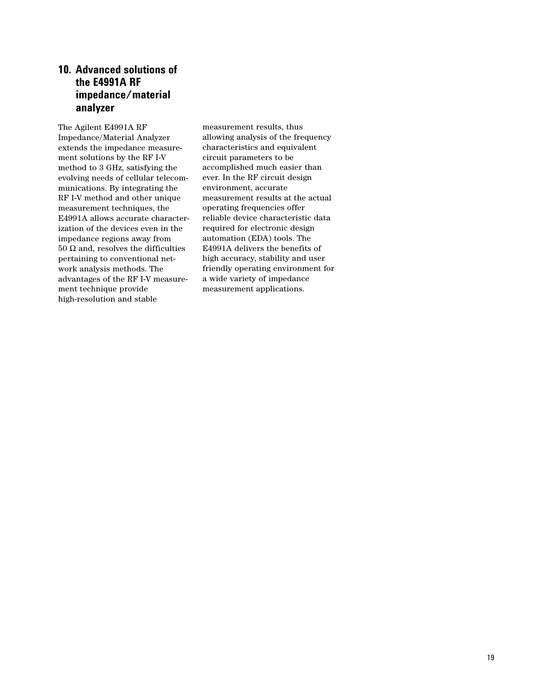## **10. Advanced solutions of the E4991A RF impedance/material analyzer**

The Agilent E4991A RF Impedance/Material Analyzer extends the impedance measurement solutions by the RF I-V method to 3 GHz, satisfying the evolving needs of cellular telecommunications. By integrating the RF I-V method and other unique measurement techniques, the E4991A allows accurate characterization of the devices even in the impedance regions away from 50  $Ω$  and, resolves the difficulties pertaining to conventional network analysis methods. The advantages of the RF I-V measurement technique provide high-resolution and stable

measurement results, thus allowing analysis of the frequency characteristics and equivalent circuit parameters to be accomplished much easier than ever. In the RF circuit design environment, accurate measurement results at the actual operating frequencies offer reliable device characteristic data required for electronic design automation (EDA) tools. The E4991A delivers the benefits of high accuracy, stability and user friendly operating environment for a wide variety of impedance measurement applications.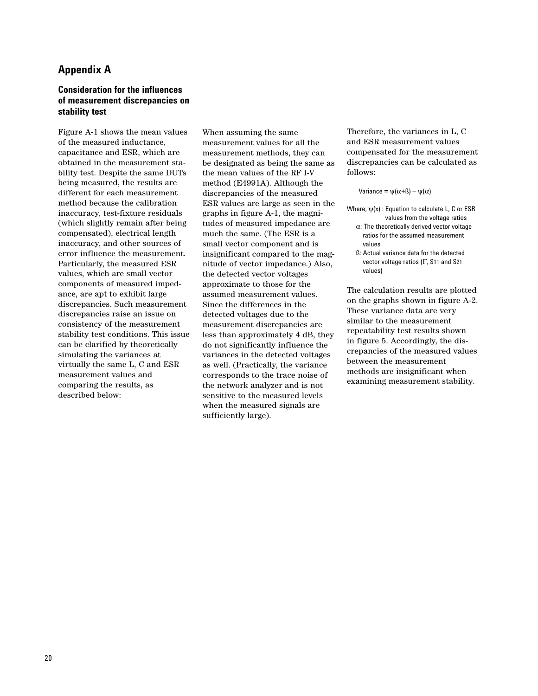### **Appendix A**

### **Consideration for the influences of measurement discrepancies on stability test**

Figure A-1 shows the mean values of the measured inductance, capacitance and ESR, which are obtained in the measurement stability test. Despite the same DUTs being measured, the results are different for each measurement method because the calibration inaccuracy, test-fixture residuals (which slightly remain after being compensated), electrical length inaccuracy, and other sources of error influence the measurement. Particularly, the measured ESR values, which are small vector components of measured impedance, are apt to exhibit large discrepancies. Such measurement discrepancies raise an issue on consistency of the measurement stability test conditions. This issue can be clarified by theoretically simulating the variances at virtually the same L, C and ESR measurement values and comparing the results, as described below:

When assuming the same measurement values for all the measurement methods, they can be designated as being the same as the mean values of the RF I-V method (E4991A). Although the discrepancies of the measured ESR values are large as seen in the graphs in figure A-1, the magnitudes of measured impedance are much the same. (The ESR is a small vector component and is insignificant compared to the magnitude of vector impedance.) Also, the detected vector voltages approximate to those for the assumed measurement values. Since the differences in the detected voltages due to the measurement discrepancies are less than approximately 4 dB, they do not significantly influence the variances in the detected voltages as well. (Practically, the variance corresponds to the trace noise of the network analyzer and is not sensitive to the measured levels when the measured signals are sufficiently large).

Therefore, the variances in L, C and ESR measurement values compensated for the measurement discrepancies can be calculated as follows:

Variance =  $\psi(\alpha + \beta) - \psi(\alpha)$ 

- Where,  $\psi(x)$ : Equation to calculate L, C or ESR values from the voltage ratios α: The theoretically derived vector voltage ratios for the assumed measurement values
	- ß: Actual variance data for the detected vector voltage ratios (Γ, S11 and S21 values)

The calculation results are plotted on the graphs shown in figure A-2. These variance data are very similar to the measurement repeatability test results shown in figure 5. Accordingly, the discrepancies of the measured values between the measurement methods are insignificant when examining measurement stability.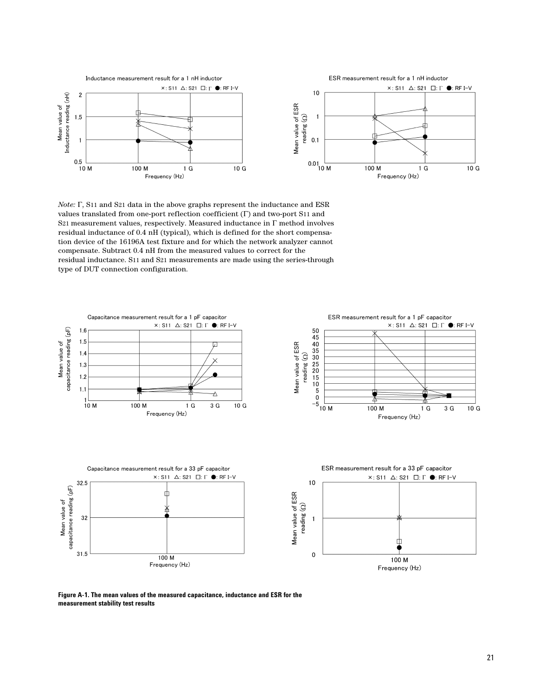

*Note:* Γ, S11 and S21 data in the above graphs represent the inductance and ESR values translated from one-port reflection coefficient (Γ) and two-port S11 and S21 measurement values, respectively. Measured inductance in Γ method involves residual inductance of 0.4 nH (typical), which is defined for the short compensation device of the 16196A test fixture and for which the network analyzer cannot compensate. Subtract 0.4 nH from the measured values to correct for the residual inductance. S11 and S21 measurements are made using the series-through type of DUT connection configuration.



**Figure A-1. The mean values of the measured capacitance, inductance and ESR for the measurement stability test results**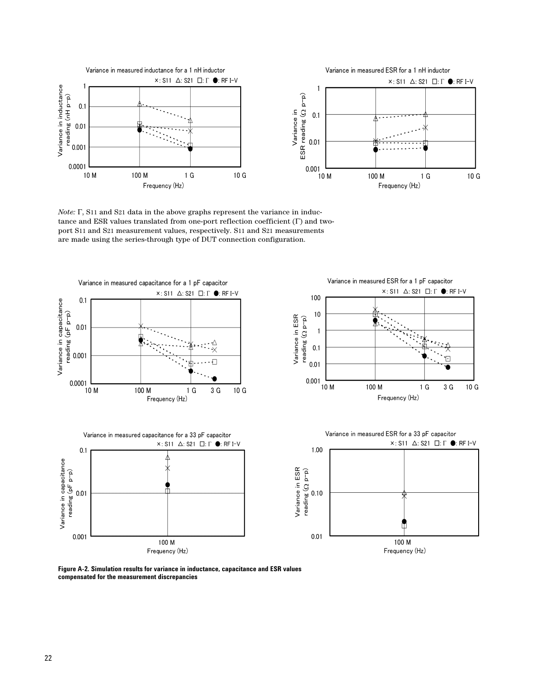

*Note:* Γ, S11 and S21 data in the above graphs represent the variance in inductance and ESR values translated from one-port reflection coefficient (Γ) and twoport S11 and S21 measurement values, respectively. S11 and S21 measurements are made using the series-through type of DUT connection configuration.



**Figure A-2. Simulation results for variance in inductance, capacitance and ESR values compensated for the measurement discrepancies**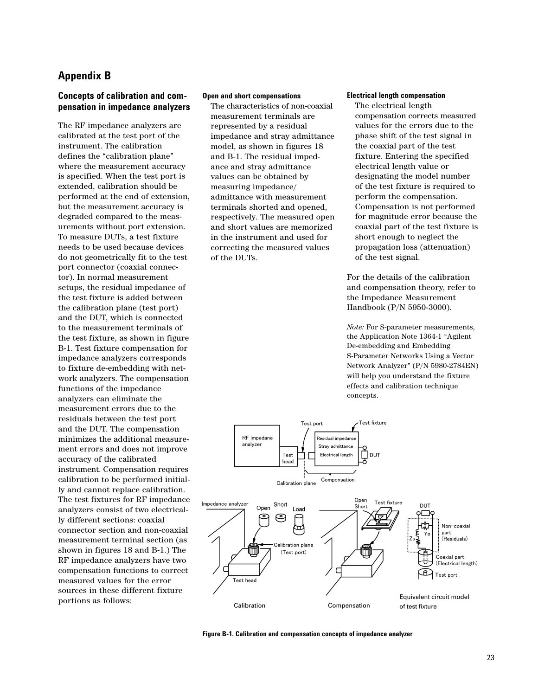## **Appendix B**

### **Concepts of calibration and compensation in impedance analyzers**

The RF impedance analyzers are calibrated at the test port of the instrument. The calibration defines the "calibration plane" where the measurement accuracy is specified. When the test port is extended, calibration should be performed at the end of extension, but the measurement accuracy is degraded compared to the measurements without port extension. To measure DUTs, a test fixture needs to be used because devices do not geometrically fit to the test port connector (coaxial connector). In normal measurement setups, the residual impedance of the test fixture is added between the calibration plane (test port) and the DUT, which is connected to the measurement terminals of the test fixture, as shown in figure B-1. Test fixture compensation for impedance analyzers corresponds to fixture de-embedding with network analyzers. The compensation functions of the impedance analyzers can eliminate the measurement errors due to the residuals between the test port and the DUT. The compensation minimizes the additional measurement errors and does not improve accuracy of the calibrated instrument. Compensation requires calibration to be performed initially and cannot replace calibration. The test fixtures for RF impedance analyzers consist of two electrically different sections: coaxial connector section and non-coaxial measurement terminal section (as shown in figures 18 and B-1.) The RF impedance analyzers have two compensation functions to correct measured values for the error sources in these different fixture portions as follows:

#### **Open and short compensations**

The characteristics of non-coaxial measurement terminals are represented by a residual impedance and stray admittance model, as shown in figures 18 and B-1. The residual impedance and stray admittance values can be obtained by measuring impedance/ admittance with measurement terminals shorted and opened, respectively. The measured open and short values are memorized in the instrument and used for correcting the measured values of the DUTs.

### **Electrical length compensation**

The electrical length compensation corrects measured values for the errors due to the phase shift of the test signal in the coaxial part of the test fixture. Entering the specified electrical length value or designating the model number of the test fixture is required to perform the compensation. Compensation is not performed for magnitude error because the coaxial part of the test fixture is short enough to neglect the propagation loss (attenuation) of the test signal.

For the details of the calibration and compensation theory, refer to the Impedance Measurement Handbook (P/N 5950-3000).

*Note:* For S-parameter measurements, the Application Note 1364-1 "Agilent De-embedding and Embedding S-Parameter Networks Using a Vector Network Analyzer" (P/N 5980-2784EN) will help you understand the fixture effects and calibration technique concepts.



**Figure B-1. Calibration and compensation concepts of impedance analyzer**